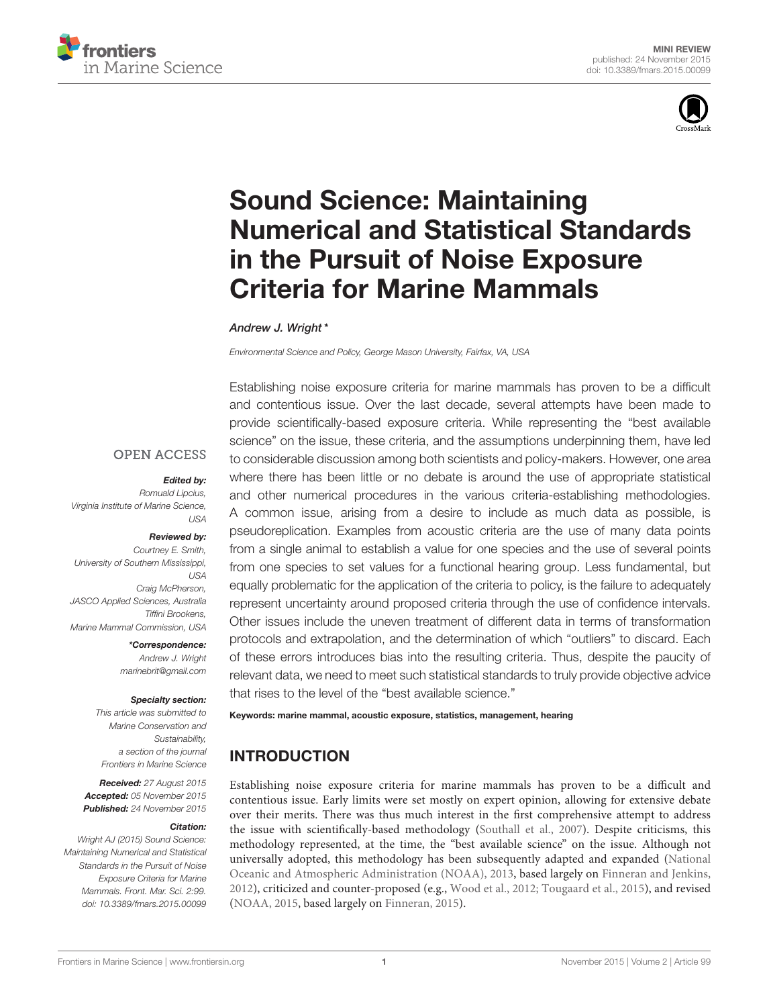



# Sound Science: Maintaining [Numerical and Statistical Standards](http://journal.frontiersin.org/article/10.3389/fmars.2015.00099/abstract) in the Pursuit of Noise Exposure Criteria for Marine Mammals

#### [Andrew J. Wright](http://loop.frontiersin.org/people/189653/overview)\*

*Environmental Science and Policy, George Mason University, Fairfax, VA, USA*

**OPEN ACCESS** 

#### Edited by:

*Romuald Lipcius, Virginia Institute of Marine Science, USA*

#### Reviewed by:

*Courtney E. Smith, University of Southern Mississippi, USA Craig McPherson, JASCO Applied Sciences, Australia Tiffini Brookens, Marine Mammal Commission, USA*

\*Correspondence:

*Andrew J. Wright [marinebrit@gmail.com](mailto:marinebrit@gmail.com)*

#### Specialty section:

*This article was submitted to Marine Conservation and Sustainability, a section of the journal Frontiers in Marine Science*

Received: *27 August 2015* Accepted: *05 November 2015* Published: *24 November 2015*

#### Citation:

*Wright AJ (2015) Sound Science: Maintaining Numerical and Statistical Standards in the Pursuit of Noise Exposure Criteria for Marine Mammals. Front. Mar. Sci. 2:99. doi: [10.3389/fmars.2015.00099](http://dx.doi.org/10.3389/fmars.2015.00099)*

Establishing noise exposure criteria for marine mammals has proven to be a difficult and contentious issue. Over the last decade, several attempts have been made to provide scientifically-based exposure criteria. While representing the "best available science" on the issue, these criteria, and the assumptions underpinning them, have led to considerable discussion among both scientists and policy-makers. However, one area where there has been little or no debate is around the use of appropriate statistical and other numerical procedures in the various criteria-establishing methodologies. A common issue, arising from a desire to include as much data as possible, is pseudoreplication. Examples from acoustic criteria are the use of many data points from a single animal to establish a value for one species and the use of several points from one species to set values for a functional hearing group. Less fundamental, but equally problematic for the application of the criteria to policy, is the failure to adequately represent uncertainty around proposed criteria through the use of confidence intervals. Other issues include the uneven treatment of different data in terms of transformation protocols and extrapolation, and the determination of which "outliers" to discard. Each of these errors introduces bias into the resulting criteria. Thus, despite the paucity of relevant data, we need to meet such statistical standards to truly provide objective advice that rises to the level of the "best available science."

#### Keywords: marine mammal, acoustic exposure, statistics, management, hearing

# INTRODUCTION

Establishing noise exposure criteria for marine mammals has proven to be a difficult and contentious issue. Early limits were set mostly on expert opinion, allowing for extensive debate over their merits. There was thus much interest in the first comprehensive attempt to address the issue with scientifically-based methodology [\(Southall et al., 2007\)](#page-5-0). Despite criticisms, this methodology represented, at the time, the "best available science" on the issue. Although not universally adopted, this methodology has been subsequently adapted and expanded (National Oceanic and Atmospheric Administration (NOAA), [2013,](#page-5-1) based largely on [Finneran and Jenkins,](#page-5-2) [2012\)](#page-5-2), criticized and counter-proposed (e.g., [Wood et al., 2012;](#page-5-3) [Tougaard et al., 2015\)](#page-5-4), and revised [\(NOAA, 2015,](#page-5-5) based largely on [Finneran, 2015\)](#page-5-6).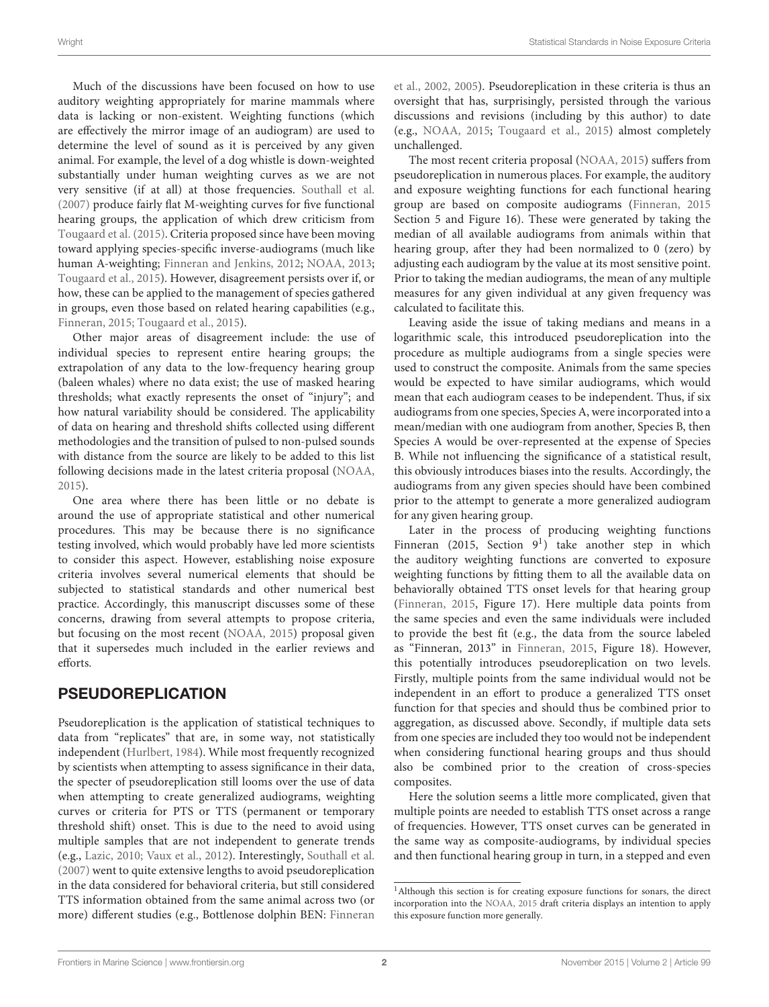Much of the discussions have been focused on how to use auditory weighting appropriately for marine mammals where data is lacking or non-existent. Weighting functions (which are effectively the mirror image of an audiogram) are used to determine the level of sound as it is perceived by any given animal. For example, the level of a dog whistle is down-weighted substantially under human weighting curves as we are not very sensitive (if at all) at those frequencies. [Southall et al.](#page-5-0) [\(2007\)](#page-5-0) produce fairly flat M-weighting curves for five functional hearing groups, the application of which drew criticism from [Tougaard et al. \(2015\)](#page-5-4). Criteria proposed since have been moving toward applying species-specific inverse-audiograms (much like human A-weighting; [Finneran and Jenkins, 2012;](#page-5-2) [NOAA, 2013;](#page-5-1) [Tougaard et al., 2015\)](#page-5-4). However, disagreement persists over if, or how, these can be applied to the management of species gathered in groups, even those based on related hearing capabilities (e.g., [Finneran, 2015;](#page-5-6) [Tougaard et al., 2015\)](#page-5-4).

Other major areas of disagreement include: the use of individual species to represent entire hearing groups; the extrapolation of any data to the low-frequency hearing group (baleen whales) where no data exist; the use of masked hearing thresholds; what exactly represents the onset of "injury"; and how natural variability should be considered. The applicability of data on hearing and threshold shifts collected using different methodologies and the transition of pulsed to non-pulsed sounds with distance from the source are likely to be added to this list following decisions made in the latest criteria proposal [\(NOAA,](#page-5-5) [2015\)](#page-5-5).

One area where there has been little or no debate is around the use of appropriate statistical and other numerical procedures. This may be because there is no significance testing involved, which would probably have led more scientists to consider this aspect. However, establishing noise exposure criteria involves several numerical elements that should be subjected to statistical standards and other numerical best practice. Accordingly, this manuscript discusses some of these concerns, drawing from several attempts to propose criteria, but focusing on the most recent [\(NOAA, 2015\)](#page-5-5) proposal given that it supersedes much included in the earlier reviews and efforts.

## PSEUDOREPLICATION

Pseudoreplication is the application of statistical techniques to data from "replicates" that are, in some way, not statistically independent [\(Hurlbert, 1984\)](#page-5-7). While most frequently recognized by scientists when attempting to assess significance in their data, the specter of pseudoreplication still looms over the use of data when attempting to create generalized audiograms, weighting curves or criteria for PTS or TTS (permanent or temporary threshold shift) onset. This is due to the need to avoid using multiple samples that are not independent to generate trends (e.g., [Lazic, 2010;](#page-5-8) [Vaux et al., 2012\)](#page-5-9). Interestingly, [Southall et al.](#page-5-0) [\(2007\)](#page-5-0) went to quite extensive lengths to avoid pseudoreplication in the data considered for behavioral criteria, but still considered TTS information obtained from the same animal across two (or more) different studies (e.g., Bottlenose dolphin BEN: Finneran et al., [2002,](#page-5-10) [2005\)](#page-5-11). Pseudoreplication in these criteria is thus an oversight that has, surprisingly, persisted through the various discussions and revisions (including by this author) to date (e.g., [NOAA, 2015;](#page-5-5) [Tougaard et al., 2015\)](#page-5-4) almost completely unchallenged.

The most recent criteria proposal [\(NOAA, 2015\)](#page-5-5) suffers from pseudoreplication in numerous places. For example, the auditory and exposure weighting functions for each functional hearing group are based on composite audiograms [\(Finneran, 2015](#page-5-6) Section 5 and Figure 16). These were generated by taking the median of all available audiograms from animals within that hearing group, after they had been normalized to 0 (zero) by adjusting each audiogram by the value at its most sensitive point. Prior to taking the median audiograms, the mean of any multiple measures for any given individual at any given frequency was calculated to facilitate this.

Leaving aside the issue of taking medians and means in a logarithmic scale, this introduced pseudoreplication into the procedure as multiple audiograms from a single species were used to construct the composite. Animals from the same species would be expected to have similar audiograms, which would mean that each audiogram ceases to be independent. Thus, if six audiograms from one species, Species A, were incorporated into a mean/median with one audiogram from another, Species B, then Species A would be over-represented at the expense of Species B. While not influencing the significance of a statistical result, this obviously introduces biases into the results. Accordingly, the audiograms from any given species should have been combined prior to the attempt to generate a more generalized audiogram for any given hearing group.

Later in the process of producing weighting functions Finneran (20[1](#page-1-0)5, Section  $9<sup>1</sup>$ ) take another step in which the auditory weighting functions are converted to exposure weighting functions by fitting them to all the available data on behaviorally obtained TTS onset levels for that hearing group [\(Finneran, 2015,](#page-5-6) Figure 17). Here multiple data points from the same species and even the same individuals were included to provide the best fit (e.g., the data from the source labeled as "Finneran, 2013" in [Finneran, 2015,](#page-5-6) Figure 18). However, this potentially introduces pseudoreplication on two levels. Firstly, multiple points from the same individual would not be independent in an effort to produce a generalized TTS onset function for that species and should thus be combined prior to aggregation, as discussed above. Secondly, if multiple data sets from one species are included they too would not be independent when considering functional hearing groups and thus should also be combined prior to the creation of cross-species composites.

Here the solution seems a little more complicated, given that multiple points are needed to establish TTS onset across a range of frequencies. However, TTS onset curves can be generated in the same way as composite-audiograms, by individual species and then functional hearing group in turn, in a stepped and even

<span id="page-1-0"></span><sup>1</sup>Although this section is for creating exposure functions for sonars, the direct incorporation into the [NOAA, 2015](#page-5-5) draft criteria displays an intention to apply this exposure function more generally.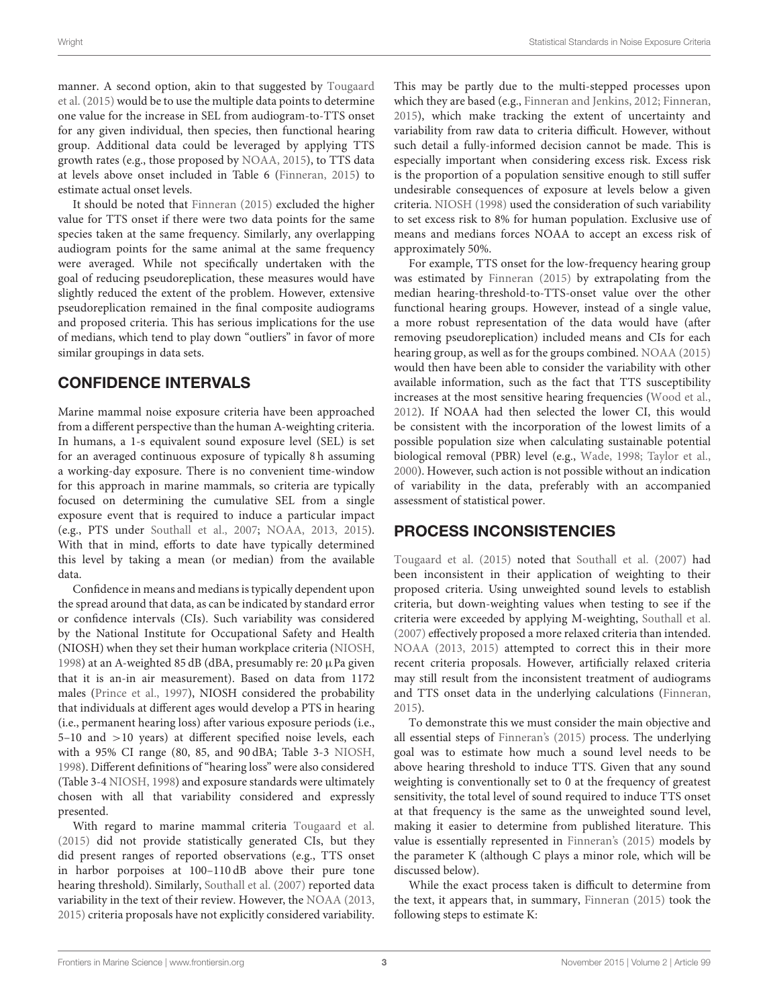manner. A second option, akin to that suggested by Tougaard et al. [\(2015\)](#page-5-4) would be to use the multiple data points to determine one value for the increase in SEL from audiogram-to-TTS onset for any given individual, then species, then functional hearing group. Additional data could be leveraged by applying TTS growth rates (e.g., those proposed by [NOAA, 2015\)](#page-5-5), to TTS data at levels above onset included in Table 6 [\(Finneran, 2015\)](#page-5-6) to estimate actual onset levels.

It should be noted that [Finneran \(2015\)](#page-5-6) excluded the higher value for TTS onset if there were two data points for the same species taken at the same frequency. Similarly, any overlapping audiogram points for the same animal at the same frequency were averaged. While not specifically undertaken with the goal of reducing pseudoreplication, these measures would have slightly reduced the extent of the problem. However, extensive pseudoreplication remained in the final composite audiograms and proposed criteria. This has serious implications for the use of medians, which tend to play down "outliers" in favor of more similar groupings in data sets.

## CONFIDENCE INTERVALS

Marine mammal noise exposure criteria have been approached from a different perspective than the human A-weighting criteria. In humans, a 1-s equivalent sound exposure level (SEL) is set for an averaged continuous exposure of typically 8 h assuming a working-day exposure. There is no convenient time-window for this approach in marine mammals, so criteria are typically focused on determining the cumulative SEL from a single exposure event that is required to induce a particular impact (e.g., PTS under [Southall et al., 2007;](#page-5-0) [NOAA, 2013,](#page-5-1) [2015\)](#page-5-5). With that in mind, efforts to date have typically determined this level by taking a mean (or median) from the available data.

Confidence in means and medians is typically dependent upon the spread around that data, as can be indicated by standard error or confidence intervals (CIs). Such variability was considered by the National Institute for Occupational Safety and Health (NIOSH) when they set their human workplace criteria [\(NIOSH,](#page-5-12) [1998\)](#page-5-12) at an A-weighted 85 dB (dBA, presumably re:  $20 \mu$ Pa given that it is an-in air measurement). Based on data from 1172 males [\(Prince et al., 1997\)](#page-5-13), NIOSH considered the probability that individuals at different ages would develop a PTS in hearing (i.e., permanent hearing loss) after various exposure periods (i.e., 5–10 and >10 years) at different specified noise levels, each with a 95% CI range (80, 85, and 90 dBA; Table 3-3 [NIOSH,](#page-5-12) [1998\)](#page-5-12). Different definitions of "hearing loss" were also considered (Table 3-4 [NIOSH, 1998\)](#page-5-12) and exposure standards were ultimately chosen with all that variability considered and expressly presented.

With regard to marine mammal criteria [Tougaard et al.](#page-5-4) [\(2015\)](#page-5-4) did not provide statistically generated CIs, but they did present ranges of reported observations (e.g., TTS onset in harbor porpoises at 100–110 dB above their pure tone hearing threshold). Similarly, [Southall et al. \(2007\)](#page-5-0) reported data variability in the text of their review. However, the [NOAA \(2013,](#page-5-1) [2015\)](#page-5-5) criteria proposals have not explicitly considered variability. This may be partly due to the multi-stepped processes upon which they are based (e.g., [Finneran and Jenkins, 2012;](#page-5-2) [Finneran,](#page-5-6) [2015\)](#page-5-6), which make tracking the extent of uncertainty and variability from raw data to criteria difficult. However, without such detail a fully-informed decision cannot be made. This is especially important when considering excess risk. Excess risk is the proportion of a population sensitive enough to still suffer undesirable consequences of exposure at levels below a given criteria. [NIOSH \(1998\)](#page-5-12) used the consideration of such variability to set excess risk to 8% for human population. Exclusive use of means and medians forces NOAA to accept an excess risk of approximately 50%.

For example, TTS onset for the low-frequency hearing group was estimated by [Finneran \(2015\)](#page-5-6) by extrapolating from the median hearing-threshold-to-TTS-onset value over the other functional hearing groups. However, instead of a single value, a more robust representation of the data would have (after removing pseudoreplication) included means and CIs for each hearing group, as well as for the groups combined. [NOAA \(2015\)](#page-5-5) would then have been able to consider the variability with other available information, such as the fact that TTS susceptibility increases at the most sensitive hearing frequencies [\(Wood et al.,](#page-5-3) [2012\)](#page-5-3). If NOAA had then selected the lower CI, this would be consistent with the incorporation of the lowest limits of a possible population size when calculating sustainable potential biological removal (PBR) level (e.g., [Wade, 1998;](#page-5-14) [Taylor et al.,](#page-5-15) [2000\)](#page-5-15). However, such action is not possible without an indication of variability in the data, preferably with an accompanied assessment of statistical power.

## PROCESS INCONSISTENCIES

[Tougaard et al. \(2015\)](#page-5-4) noted that [Southall et al. \(2007\)](#page-5-0) had been inconsistent in their application of weighting to their proposed criteria. Using unweighted sound levels to establish criteria, but down-weighting values when testing to see if the criteria were exceeded by applying M-weighting, [Southall et al.](#page-5-0) [\(2007\)](#page-5-0) effectively proposed a more relaxed criteria than intended. [NOAA \(2013,](#page-5-1) [2015\)](#page-5-5) attempted to correct this in their more recent criteria proposals. However, artificially relaxed criteria may still result from the inconsistent treatment of audiograms and TTS onset data in the underlying calculations [\(Finneran,](#page-5-6) [2015\)](#page-5-6).

To demonstrate this we must consider the main objective and all essential steps of [Finneran's \(2015\)](#page-5-6) process. The underlying goal was to estimate how much a sound level needs to be above hearing threshold to induce TTS. Given that any sound weighting is conventionally set to 0 at the frequency of greatest sensitivity, the total level of sound required to induce TTS onset at that frequency is the same as the unweighted sound level, making it easier to determine from published literature. This value is essentially represented in [Finneran's \(2015\)](#page-5-6) models by the parameter K (although C plays a minor role, which will be discussed below).

While the exact process taken is difficult to determine from the text, it appears that, in summary, [Finneran \(2015\)](#page-5-6) took the following steps to estimate K: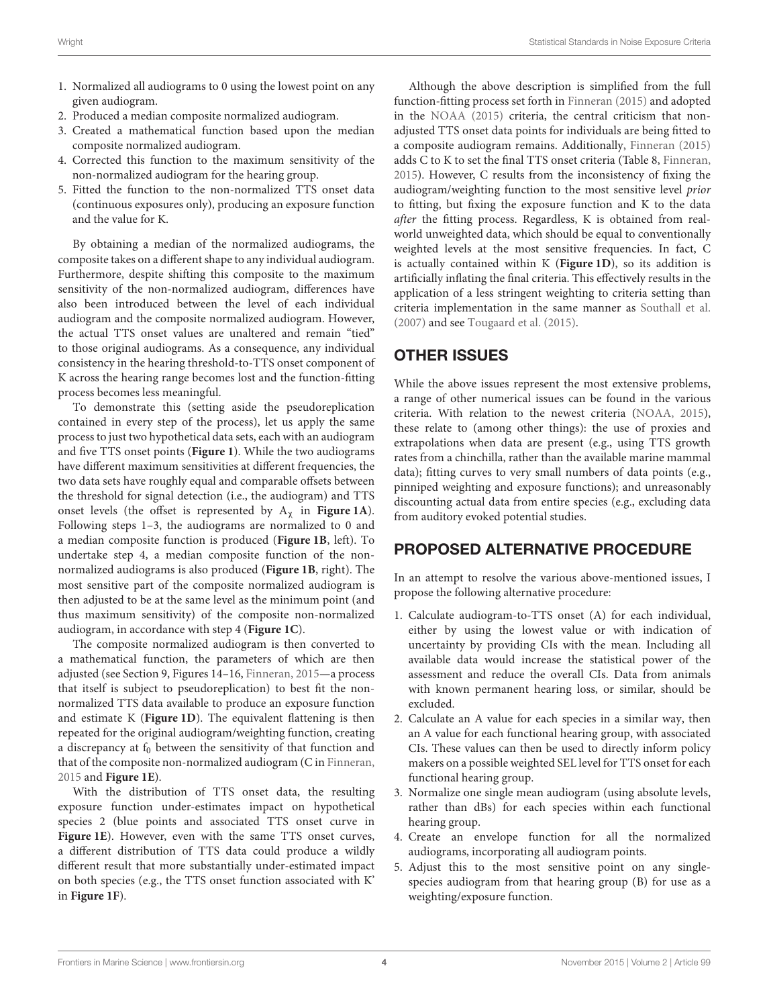- 1. Normalized all audiograms to 0 using the lowest point on any given audiogram.
- 2. Produced a median composite normalized audiogram.
- 3. Created a mathematical function based upon the median composite normalized audiogram.
- 4. Corrected this function to the maximum sensitivity of the non-normalized audiogram for the hearing group.
- 5. Fitted the function to the non-normalized TTS onset data (continuous exposures only), producing an exposure function and the value for K.

By obtaining a median of the normalized audiograms, the composite takes on a different shape to any individual audiogram. Furthermore, despite shifting this composite to the maximum sensitivity of the non-normalized audiogram, differences have also been introduced between the level of each individual audiogram and the composite normalized audiogram. However, the actual TTS onset values are unaltered and remain "tied" to those original audiograms. As a consequence, any individual consistency in the hearing threshold-to-TTS onset component of K across the hearing range becomes lost and the function-fitting process becomes less meaningful.

To demonstrate this (setting aside the pseudoreplication contained in every step of the process), let us apply the same process to just two hypothetical data sets, each with an audiogram and five TTS onset points (**[Figure 1](#page-4-0)**). While the two audiograms have different maximum sensitivities at different frequencies, the two data sets have roughly equal and comparable offsets between the threshold for signal detection (i.e., the audiogram) and TTS onset levels (the offset is represented by  $A_\chi$  in **[Figure 1A](#page-4-0)**). Following steps 1–3, the audiograms are normalized to 0 and a median composite function is produced (**[Figure 1B](#page-4-0)**, left). To undertake step 4, a median composite function of the nonnormalized audiograms is also produced (**[Figure 1B](#page-4-0)**, right). The most sensitive part of the composite normalized audiogram is then adjusted to be at the same level as the minimum point (and thus maximum sensitivity) of the composite non-normalized audiogram, in accordance with step 4 (**[Figure 1C](#page-4-0)**).

The composite normalized audiogram is then converted to a mathematical function, the parameters of which are then adjusted (see Section 9, Figures 14–16, [Finneran, 2015—](#page-5-6)a process that itself is subject to pseudoreplication) to best fit the nonnormalized TTS data available to produce an exposure function and estimate K (**[Figure 1D](#page-4-0)**). The equivalent flattening is then repeated for the original audiogram/weighting function, creating a discrepancy at  $f_0$  between the sensitivity of that function and that of the composite non-normalized audiogram (C in [Finneran,](#page-5-6) [2015](#page-5-6) and **[Figure 1E](#page-4-0)**).

With the distribution of TTS onset data, the resulting exposure function under-estimates impact on hypothetical species 2 (blue points and associated TTS onset curve in **[Figure 1E](#page-4-0)**). However, even with the same TTS onset curves, a different distribution of TTS data could produce a wildly different result that more substantially under-estimated impact on both species (e.g., the TTS onset function associated with K' in **[Figure 1F](#page-4-0)**).

Although the above description is simplified from the full function-fitting process set forth in [Finneran \(2015\)](#page-5-6) and adopted in the [NOAA \(2015\)](#page-5-5) criteria, the central criticism that nonadjusted TTS onset data points for individuals are being fitted to a composite audiogram remains. Additionally, [Finneran \(2015\)](#page-5-6) adds C to K to set the final TTS onset criteria (Table 8, [Finneran,](#page-5-6) [2015\)](#page-5-6). However, C results from the inconsistency of fixing the audiogram/weighting function to the most sensitive level prior to fitting, but fixing the exposure function and K to the data after the fitting process. Regardless, K is obtained from realworld unweighted data, which should be equal to conventionally weighted levels at the most sensitive frequencies. In fact, C is actually contained within K (**[Figure 1D](#page-4-0)**), so its addition is artificially inflating the final criteria. This effectively results in the application of a less stringent weighting to criteria setting than criteria implementation in the same manner as [Southall et al.](#page-5-0) [\(2007\)](#page-5-0) and see [Tougaard et al. \(2015\)](#page-5-4).

## OTHER ISSUES

While the above issues represent the most extensive problems, a range of other numerical issues can be found in the various criteria. With relation to the newest criteria [\(NOAA, 2015\)](#page-5-5), these relate to (among other things): the use of proxies and extrapolations when data are present (e.g., using TTS growth rates from a chinchilla, rather than the available marine mammal data); fitting curves to very small numbers of data points (e.g., pinniped weighting and exposure functions); and unreasonably discounting actual data from entire species (e.g., excluding data from auditory evoked potential studies.

## PROPOSED ALTERNATIVE PROCEDURE

In an attempt to resolve the various above-mentioned issues, I propose the following alternative procedure:

- 1. Calculate audiogram-to-TTS onset (A) for each individual, either by using the lowest value or with indication of uncertainty by providing CIs with the mean. Including all available data would increase the statistical power of the assessment and reduce the overall CIs. Data from animals with known permanent hearing loss, or similar, should be excluded.
- 2. Calculate an A value for each species in a similar way, then an A value for each functional hearing group, with associated CIs. These values can then be used to directly inform policy makers on a possible weighted SEL level for TTS onset for each functional hearing group.
- 3. Normalize one single mean audiogram (using absolute levels, rather than dBs) for each species within each functional hearing group.
- 4. Create an envelope function for all the normalized audiograms, incorporating all audiogram points.
- 5. Adjust this to the most sensitive point on any singlespecies audiogram from that hearing group (B) for use as a weighting/exposure function.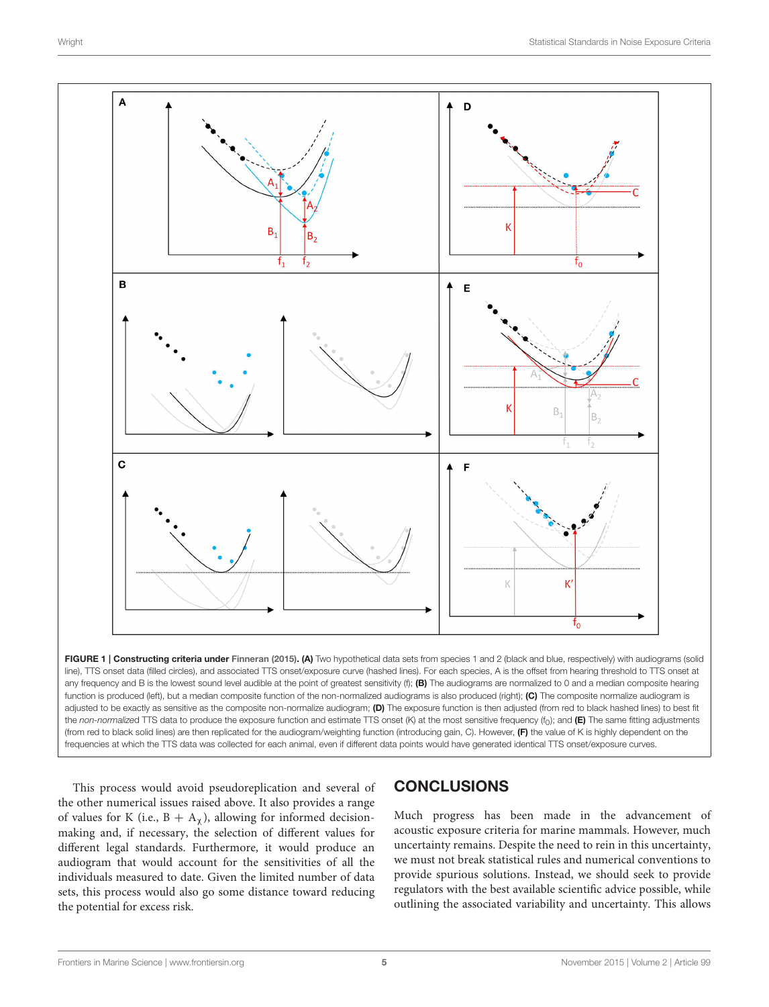

<span id="page-4-0"></span>FIGURE 1 | Constructing criteria under [Finneran \(2015\)](#page-5-6). (A) Two hypothetical data sets from species 1 and 2 (black and blue, respectively) with audiograms (solid line), TTS onset data (filled circles), and associated TTS onset/exposure curve (hashed lines). For each species, A is the offset from hearing threshold to TTS onset at any frequency and B is the lowest sound level audible at the point of greatest sensitivity  $(f)$ ;  $(B)$  The audiograms are normalized to 0 and a median composite hearing function is produced (left), but a median composite function of the non-normalized audiograms is also produced (right); (C) The composite normalize audiogram is adjusted to be exactly as sensitive as the composite non-normalize audiogram; (D) The exposure function is then adjusted (from red to black hashed lines) to best fit the *non-normalize*d TTS data to produce the exposure function and estimate TTS onset (K) at the most sensitive frequency (f<sub>0</sub>); and **(E)** The same fitting adjustments (from red to black solid lines) are then replicated for the audiogram/weighting function (introducing gain, C). However, (F) the value of K is highly dependent on the frequencies at which the TTS data was collected for each animal, even if different data points would have generated identical TTS onset/exposure curves.

This process would avoid pseudoreplication and several of the other numerical issues raised above. It also provides a range of values for K (i.e.,  $B + A_{\gamma}$ ), allowing for informed decisionmaking and, if necessary, the selection of different values for different legal standards. Furthermore, it would produce an audiogram that would account for the sensitivities of all the individuals measured to date. Given the limited number of data sets, this process would also go some distance toward reducing the potential for excess risk.

# **CONCLUSIONS**

Much progress has been made in the advancement of acoustic exposure criteria for marine mammals. However, much uncertainty remains. Despite the need to rein in this uncertainty, we must not break statistical rules and numerical conventions to provide spurious solutions. Instead, we should seek to provide regulators with the best available scientific advice possible, while outlining the associated variability and uncertainty. This allows